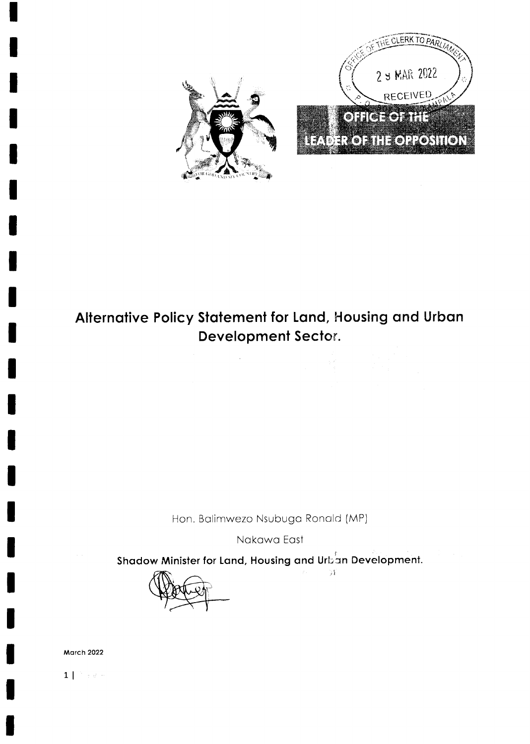

# Alternative Policy Statement for Land, Housing and Urban Development Sector.

 $\mathcal{A}$ 

Hon. Balimwezo Nsubuga Ronald (MP)

Nakawa East

Shadow Minister for Land, Housing and Urban Development.

 $\mathcal{A}$ 

**Carl Corporation** 

**March 2022** 

 $1 | \rightarrow \rightarrow \rightarrow$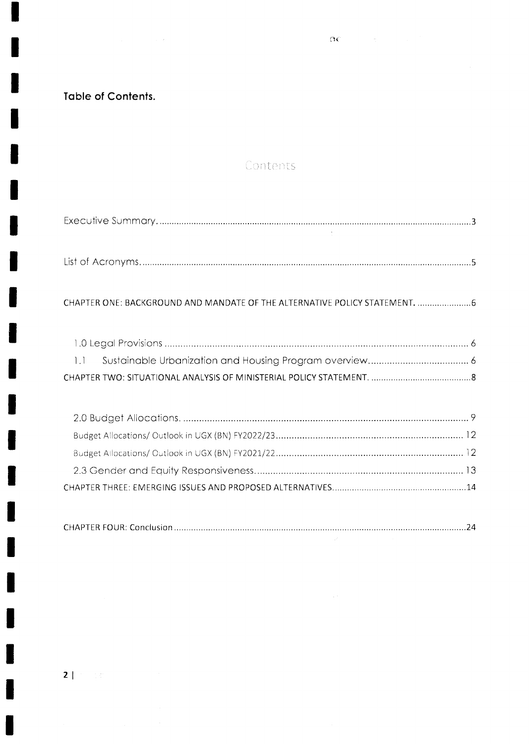$\overline{\mathbf{OC}}$  , we have a set  $\overline{\mathbf{OC}}$ 

**Table of Contents.** 

# Contents

| CHAPTER ONE: BACKGROUND AND MANDATE OF THE ALTERNATIVE POLICY STATEMENT. 6 |  |
|----------------------------------------------------------------------------|--|
|                                                                            |  |
| $1.1 -$                                                                    |  |
|                                                                            |  |

|--|

 $\sim 10^{-1}$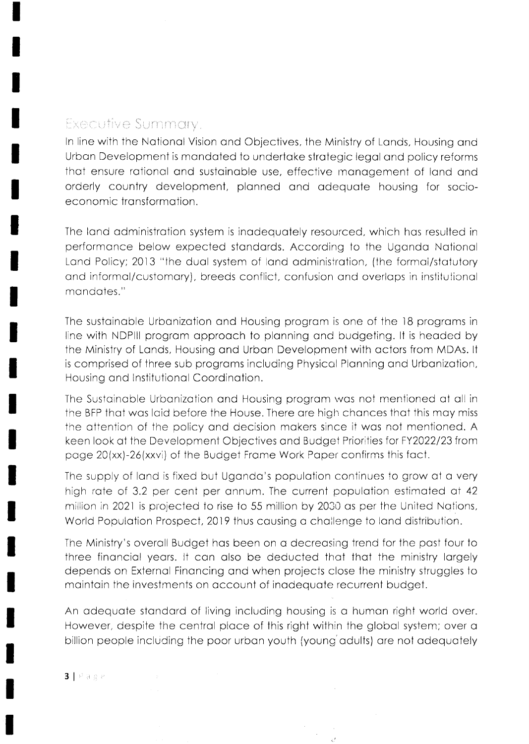# Executive Summary,

In line with the National Vision and Objectives, the Ministry of Lands, Housing and Urban Development is mandated to undertake strategic legal and policy reforms that ensure rational and sustainable use, effective management of land and orderly country development, planned and adequate housing for socioeconomic transformation.

The land administration system is inadequately resourced, which has resulted in performance below expected standards. According to the Uganda National Land Policy; 2013 "the dual system of land administration, (the formal/statutory and informal/customary), breeds conflict, confusion and overlaps in institutional mandates."

The sustainable Urbanization and Housing program is one of the 18 programs in line with NDPIII program approach to planning and budgeting. It is headed by the Ministry of Lands, Housing and Urban Development with actors from MDAs. It is comprised of three sub programs including Physical Planning and Urbanization, Housing and Institutional Coordination.

The Sustainable Urbanization and Housing program was not mentioned at all in the BFP that was laid before the House. There are high chances that this may miss the attention of the policy and decision makers since it was not mentioned. A keen look at the Development Objectives and Budget Priorities for FY2022/23 from page 20(xx)-26(xxvi) of the Budget Frame Work Paper confirms this fact.

The supply of land is fixed but Uganda's population continues to grow at a very high rate of 3.2 per cent per annum. The current population estimated at 42 million in 2021 is projected to rise to 55 million by 2030 as per the United Nations, World Population Prospect, 2019 thus causing a challenge to land distribution.

The Ministry's overall Budget has been on a decreasing trend for the past four to three financial years. It can also be deducted that that the ministry largely depends on External Financing and when projects close the ministry struggles to maintain the investments on account of inadequate recurrent budget.

An adequate standard of living including housing is a human right world over. However, despite the central place of this right within the global system; over a billion people including the poor urban youth (young adults) are not adequately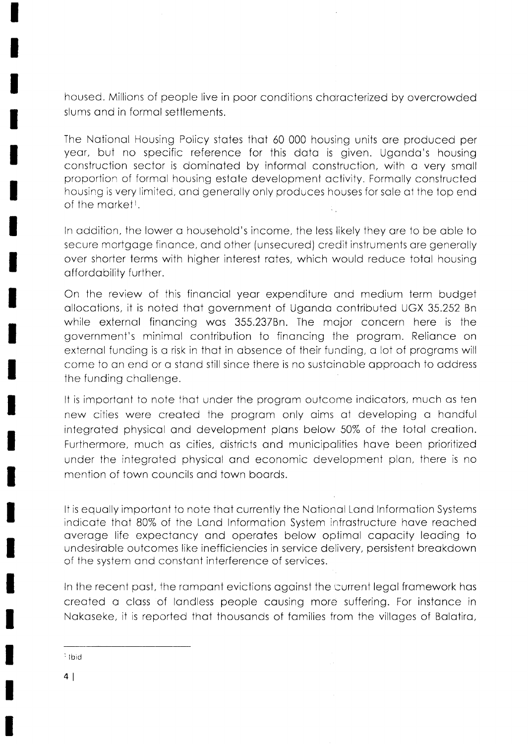housed. Millions of people live in poor conditions chorocterized by overcrowded slums ond in formol settlements.

The Notionol Housing Policy stotes thot 60 000 housing units ore produced per yeor, but no specific reference for this doto is given. Ugondo's housing construction sector is dominoted by informol construction, with o very smoll proportion of formol housing estote development octivily. Formolly constructed housing is very llmited, ond generolly only produces houses for sole of the top end of the market!.

ln oddition, the lower o household's income, the less likely they ore to be oble to secure mortgoge finonce, ond other (unsecured) crecjit instruments ore generolly over shorter terms with higher interest rotes, which would reduce totol housing affordability further.

On the review of this finonciol yeor expenditure ond medium term budget ollocotions, it is noted ihot government of Ugondo contributed UGX 35.252 Bn while externol finoncing wos 355.237Bn. The mojor concern here is the government's minimal contribution to financing the program. Reliance on external funding is a risk in that in absence of their funding, a lot of programs will come to on end or o stond still since there is no sustcinoble opprooch to oddress the funding chollenge.

It is important to note that under the program outcome indicators, much as ten new cities were created the program only aims at developing a handful integrated physical and development plans below 50% of the total creation. Furthermore, much os cities, districts ond municipolities hove been prioritized under the integroted physicol ond economic development plon, there is no mention of town councils and town boards.

It is equally important to note that currently the National Land Information Systems indicate that 80% of the Land Information System infrastructure have reached average life expectancy and operates below optimal capacity leading to undesiroble outcomes like inefficiencies in service delivery, persistent breokdown of the system ond constont interference of services.

In the recent past, the rampant evictions against the current legal framework has creoted o closs cf londless people cousing more suffering. For instonce in Nokoseke, it is repcrted thot thousonds of fomilies from the villoges of Bolotiro,

 $\frac{1}{2}$ lbid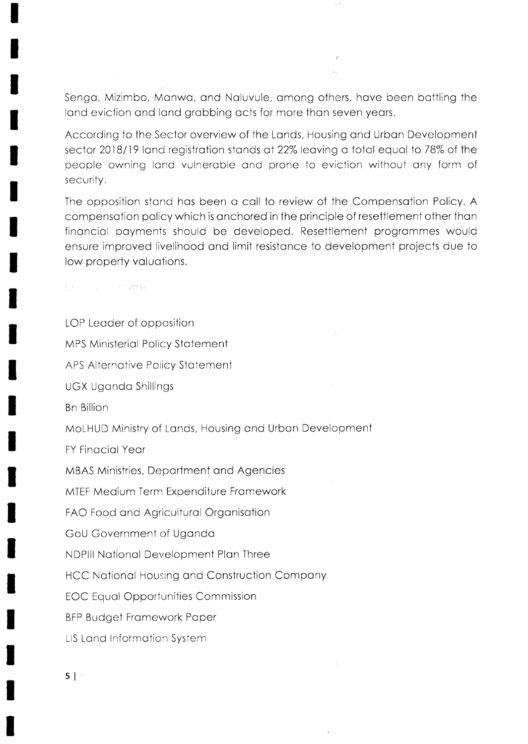Senga, Mizimbo, Manwa, and Naluvule, among others, have been battling the land eviction and land grabbing acts for more than seven years.

According to the Sector overview of the Lands, Housing and Urban Development sector 2018/19 land registration stands at 22% leaving a total equal to 78% of the people owning land vulnerable and prone to eviction without any form of security.

The opposition stand has been a call to review of the Compensation Policy. A compensation policy which is anchored in the principle of resettlement other than financial payments should be developed. Resettlement programmes would ensure improved livelihood and limit resistance to development projects due to low property valuations.

tishu na maransi

LOP Leader of opposition **MPS Ministerial Policy Statement** APS Alternative Policy Statement **UGX Uganda Shillings Bn Billion** MoLHUD Ministry of Lands, Housing and Urban Development **FY Finacial Year MBAS Ministries, Department and Agencies** MTEF Medium Term Expenditure Framework FAO Food and Agricultural Organisation GoU Government of Uganda NDPIII National Development Plan Three **HCC National Housing and Construction Company EOC Equal Opportunities Commission BFP Budget Framework Paper LIS Land Information System**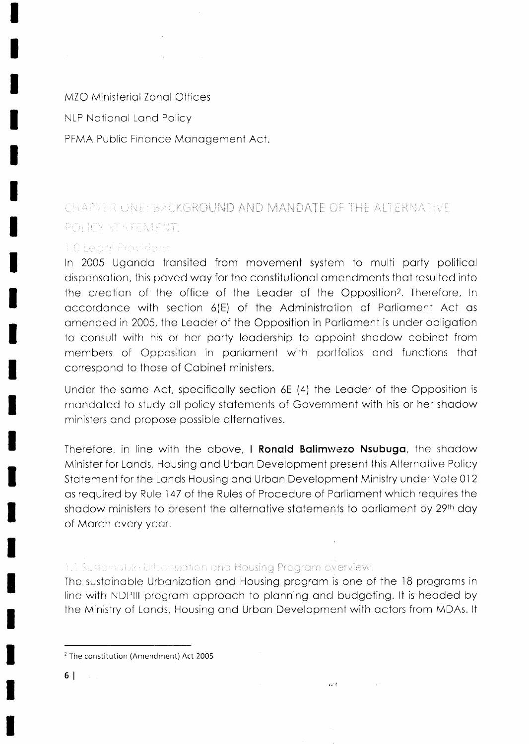MZO Ministerial Zonal Offices NLP Notionol Lond Policy PFMA Public Finance Management Act.

# .rr'ii,.l. i, I ti i $CHAPI$

# 1.0 Least Provisions

In 2005 Ugondo tronsited from movement system to multi porty politicol dispensotion, this poved woy for the constitutionol omendments thot resulted into the creation of the office of the Leader of the Opposition<sup>2</sup>. Therefore, In accordance with section 6(E) of the Administration of Parliament Act as omended in 2005, the Leoder of the Opposition in Porlioment is under obligotion to consult with his or her party leadership to appoint shadow cabinet from members of Opposition in parliament with portfolios and functions that correspond to those of Cabinet ministers.

Under the some Act, specificolly section 6E (4) the Leoder of the Opposition is mondoted to study oll policy stotemenis of Government with his or her shodow ministers ond propose possible olternotives.

Therefore, in line with the above, I Ronald Balimwezo Nsubuga, the shadow Minister for Lands, Housing and Urban Development present this Alternative Policy Stotement for the Londs Housing ond Urbon Development Ministry under Vote Ol2 as required by Rule 147 of the Rules of Procedure of Parliament which requires the shodow ministers to present the alternative statements to parliament by 29th day of Morch every yeor.

# 1.1 Sustainable Urbanization and Housing Program overview.

The sustainable Urbanization and Housing program is one of the 18 programs in line with NDPlll progrom opprooch to plonning ond budgeting. lt is heoded by the Ministry of Londs, Housing ond Urbon Development with octors from MDAs. lt

W.

 $2$  The constitution (Amendment) Act 2005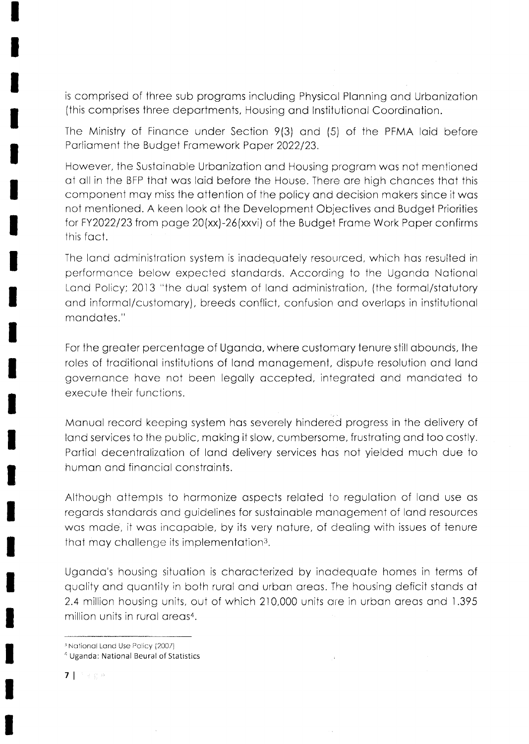is comprised of three sub programs including Physical Planning and Urbanization (this comprises three departments, Housing and Institutional Coordination.

The Ministry of Finance under Section 9(3) and (5) of the PFMA laid before Parliament the Budget Framework Paper 2022/23.

However, the Sustainable Urbanization and Housing program was not mentioned at all in the BFP that was laid before the House. There are high chances that this component may miss the attention of the policy and decision makers since it was not mentioned. A keen look at the Development Objectives and Budget Priorities for FY2022/23 from page 20(xx)-26(xxvi) of the Budget Frame Work Paper confirms this fact.

The land administration system is inadequately resourced, which has resulted in performance below expected standards. According to the Uganda National Land Policy; 2013 "the dual system of land administration, (the formal/statutory and informal/customary), breeds conflict, confusion and overlaps in institutional mandates."

For the greater percentage of Uganda, where customary tenure still abounds, the roles of traditional institutions of land management, dispute resolution and land governance have not been legally accepted, integrated and mandated to execute their functions.

Manual record keeping system has severely hindered progress in the delivery of land services to the public, making it slow, cumbersome, frustrating and too costly. Partial decentralization of land delivery services has not yielded much due to human and financial constraints.

Although attempts to harmonize aspects related to regulation of land use as regards standards and guidelines for sustainable management of land resources was made, it was incapable, by its very nature, of dealing with issues of tenure that may challenge its implementation<sup>3</sup>.

Uganda's housing situation is characterized by inadequate homes in terms of quality and quantity in both rural and urban areas. The housing deficit stands at 2.4 million housing units, out of which 210,000 units are in urban areas and 1.395 million units in rural areas<sup>4</sup>.

 $7 + 80$ 

<sup>&</sup>lt;sup>3</sup> National Land Use Policy (2007)

<sup>&</sup>lt;sup>4</sup> Uganda: National Beural of Statistics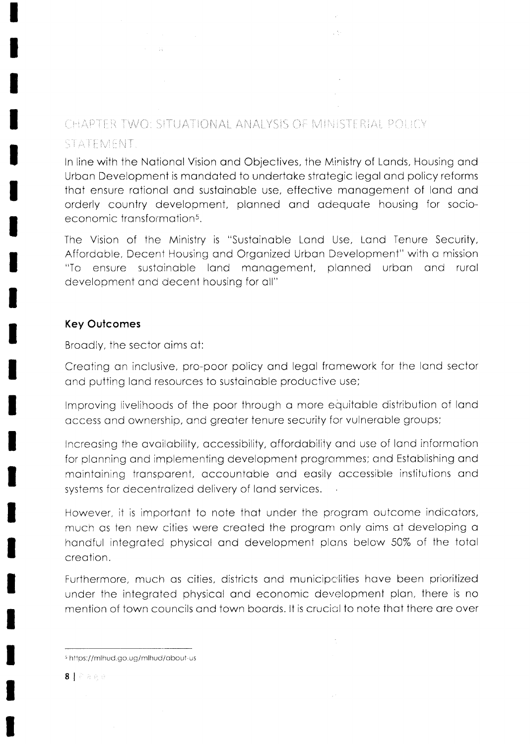# CHAPTER TWO: SITUATIONAL ANALYSIS OF MINISTERIAL POLICY STATEMENT.

In line with the National Vision and Objectives, the Ministry of Lands, Housing and Urban Development is mandated to undertake strategic legal and policy reforms that ensure rational and sustainable use, effective management of land and orderly country development, planned and adequate housing for socioeconomic transformation<sup>5</sup>.

 $\sim 5$ 

The Vision of the Ministry is "Sustainable Land Use, Land Tenure Security, Affordable, Decent Housing and Organized Urban Development" with a mission "To ensure sustainable land management, planned urban and rural development and decent housing for all"

# **Key Outcomes**

Broadly, the sector aims at:

 $\sim 14$   $\sim$   $\sim$ 

Creating an inclusive, pro-poor policy and legal framework for the land sector and putting land resources to sustainable productive use;

Improving livelihoods of the poor through a more equitable distribution of land access and ownership, and greater tenure security for vulnerable groups;

Increasing the availability, accessibility, affordability and use of land information for planning and implementing development programmes; and Establishing and maintaining transparent, accountable and easily accessible institutions and systems for decentralized delivery of land services.

However, it is important to note that under the program outcome indicators, much as ten new cities were created the program only aims at developing a handful integrated physical and development plans below 50% of the total creation.

Furthermore, much as cities, districts and municipalities have been prioritized under the integrated physical and economic development plan, there is no mention of fown councils and fown boards. It is crucial to note that there are over

 $\bar{\bar{z}}$ 

<sup>&</sup>lt;sup>5</sup> https://mlhud.go.ug/mlhud/about-us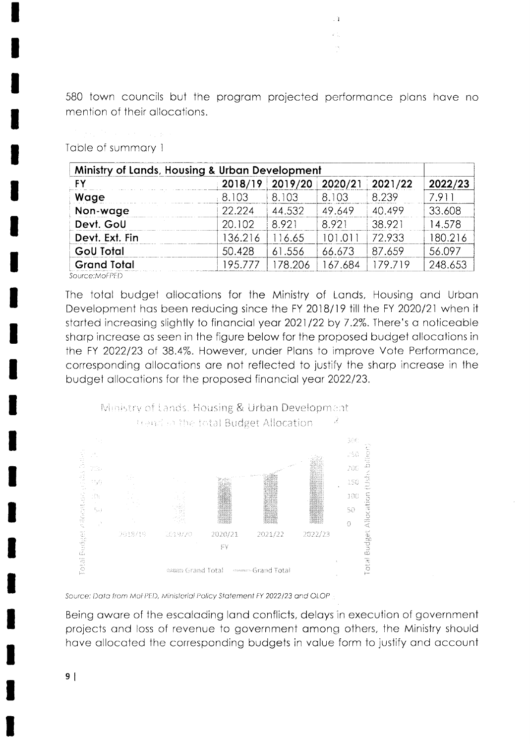580 town councils but the program projected performance plans have no mention of their allocations.

 $\cdot$  1  $\varphi_{\rm{in}}^{(1)}$ 

# Table of summary 1

|                    | Ministry of Lands, Housing & Urban Development |         |         |         |         |
|--------------------|------------------------------------------------|---------|---------|---------|---------|
| FΥ                 | 2018/19                                        | 2019/20 | 2020/21 | 2021/22 | 2022/23 |
| Wage               | 8.103                                          | 8.103   | 8.103   | 8.239   | 7.911   |
| Non-wage           | 22.224                                         | 44.532  | 49.649  | 40.499  | 33.608  |
| Devt. GoU          | 20.102                                         | 8.921   | 8.921   | 38.921  | 14.578  |
| Devt. Ext. Fin     | 136.216                                        | 116.65  | 101.011 | 72.933  | 180.216 |
| <b>GoU Total</b>   | 50.428                                         | 61.556  | 66.673  | 87.659  | 56.097  |
| <b>Grand Total</b> | 195.777                                        | 178.206 | 167.684 | 179.719 | 248.653 |

Source:MoFPED

The total budget allocations for the Ministry of Lands, Housing and Urban Development has been reducing since the FY 2018/19 till the FY 2020/21 when it started increasing slightly to financial year 2021/22 by 7.2%. There's a noticeable sharp increase as seen in the figure below for the proposed budget allocations in the FY 2022/23 of 38.4%. However, under Plans to improve Vote Performance, corresponding allocations are not reflected to justify the sharp increase in the budget allocations for the proposed financial year 2022/23.



Source: Data from MoFPED, Ministerial Policy Statement FY 2022/23 and OLOP

Being aware of the escalading land conflicts, delays in execution of government projects and loss of revenue to government among others, the Ministry should have allocated the corresponding budgets in value form to justify and account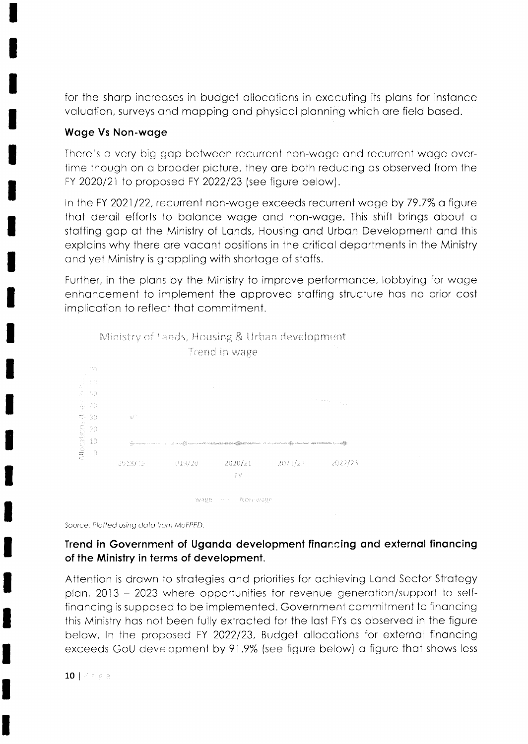for the sharp increases in budget allocations in executing its plans for instance valuation, surveys and mapping and physical planning which are field based.

# **Wage Vs Non-wage**

There's a very big gap between recurrent non-wage and recurrent wage overtime though on a broader picture, they are both reducing as observed from the FY 2020/21 to proposed FY 2022/23 (see figure below).

in the FY 2021/22, recurrent non-wage exceeds recurrent wage by 79.7% a figure that derail efforts to balance wage and non-wage. This shift brings about a staffing gap at the Ministry of Lands, Housing and Urban Development and this explains why there are vacant positions in the critical departments in the Ministry and yet Ministry is grappling with shortage of staffs.

Further, in the plans by the Ministry to improve performance, lobbying for wage enhancement to implement the approved staffing structure has no prior cost implication to reflect that commitment.



Source: Plotted using data from MoFPED.

# Trend in Government of Uganda development financing and external financing of the Ministry in terms of development.

Attention is drawn to strategies and priorities for achieving Land Sector Strategy plan, 2013 – 2023 where opportunities for revenue generation/support to selffinancing is supposed to be implemented. Government commitment to financing this Ministry has not been fully extracted for the last FYs as observed in the figure below. In the proposed FY 2022/23, Budget allocations for external financing exceeds GoU development by 91.9% (see figure below) a figure that shows less

 $10$  |  $\%$  a g  $\%$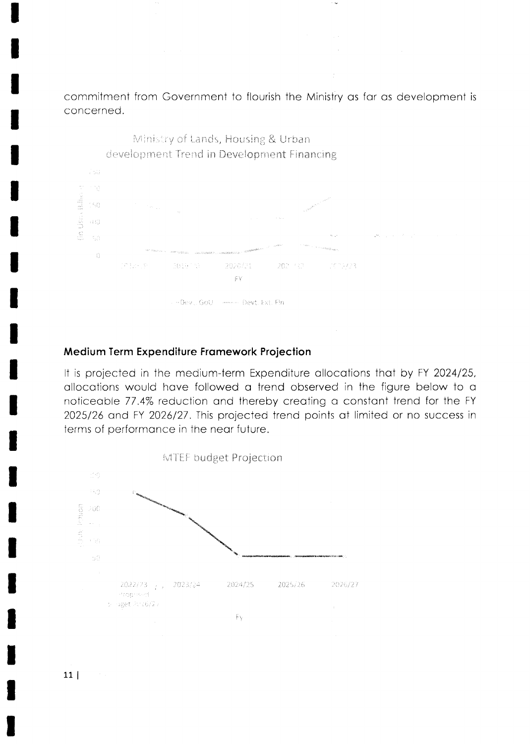commitment from Government to flourish the Ministry as far as development is concerned.



### Medium Term Expenditure Framework Projection

It is projected in the medium-term Expenditure allocations that by FY 2024/25, allocations would have followed a trend observed in the figure below to a noticeable 77.4% reduction and thereby creating a constant trend for the FY 2025/26 and FY 2026/27. This projected trend points at limited or no success in terms of performance in the near future.

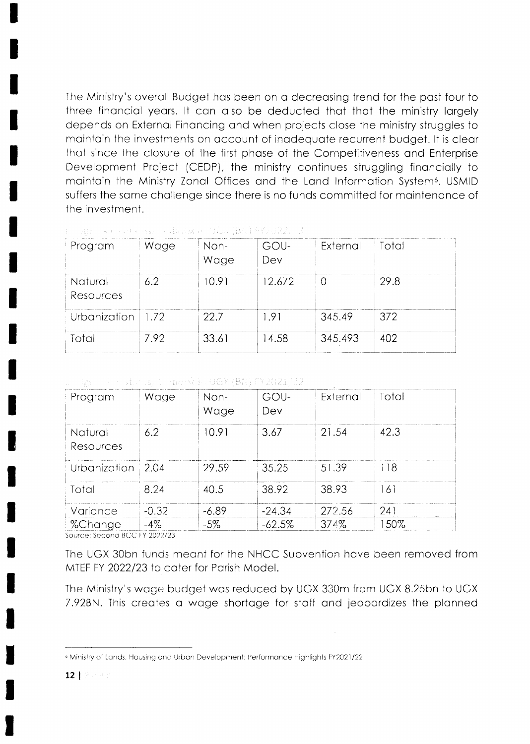The Ministry's overall Budget has been on a decreasing trend for the past four to three financial years. It can also be deducted that that the ministry largely depends on External Financing and when projects close the ministry struggles to maintain the investments on account of inadequate recurrent budget. It is clear that since the closure of the first phase of the Competitiveness and Enterprise Development Project (CEDP), the ministry continues struggling financially to maintain the Ministry Zonal Offices and the Land Information System<sup>6</sup>. USMID suffers the same challenge since there is no funds committed for maintenance of the investment.

| Program              | Wage | Non-<br>Wage | GOU-<br>Dev | External | Total |
|----------------------|------|--------------|-------------|----------|-------|
| Natural<br>Resources | 6.2  | 10.91        | 12.672      |          | 29.8  |
| Urbanization         | 1.72 | 22.7         | 1.91        | 345.49   | 372   |
| Total                | 7.92 | 33.61        | 14.58       | 345.493  | 402   |

 $\tau = m_0 + m_1 + m_2 + 4m_3$  and  $\tau = 0.04 + 0.022 + 3$ 

### → Pac Pin stunds, CaterをE-OGX (BN) D/2021/22

| Program              | Wage    | Non-<br>Wage | GOU-<br>Dev | External | Total |
|----------------------|---------|--------------|-------------|----------|-------|
| Natural<br>Resources | 6.2     | 10.91        | 3.67        | 21.54    | 42.3  |
| Urbanization   2.04  |         | 29.59        | 35.25       | 51.39    | 118   |
| Total                | 8.24    | 40.5         | 38.92       | 38.93    | 161   |
| Variance             | $-0.32$ | $-6.89$      | $-24.34$    | 272.56   | 241   |
| %Change              | $-4\%$  | $-5\%$       | $-62.5%$    | 374%     | 150%  |

Source: Second BCC FY 2022/23

The UGX 30bn funds meant for the NHCC Subvention have been removed from MTEF FY 2022/23 to cater for Parish Model.

The Ministry's wage budget was reduced by UGX 330m from UGX 8.25bn to UGX 7.92BN. This creates a wage shortage for staff and jeopardizes the planned

<sup>&</sup>lt;sup>6</sup> Ministry of Lands, Housing and Urban Development: Performance Highlights FY2021/22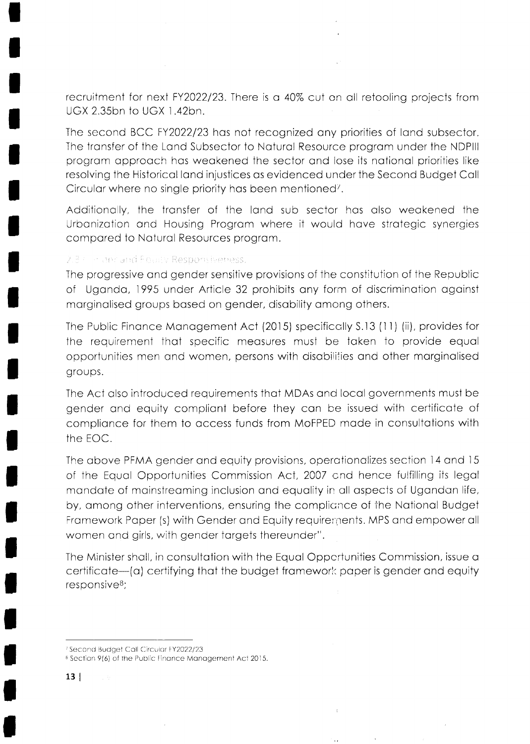recruitment for next FY2022/23. There is a 40% cut on all retooling projects from UGX 2.35bn to UGX 1.42bn.

The second BCC FY2022/23 has not recognized any priorities of land subsector. The transfer of the Land Subsector to Natural Resource program under the NDPIII program approach has weakened the sector and lose its national priorities like resolving the Historical land injustices as evidenced under the Second Budget Call Circular where no single priority has been mentioned<sup>7</sup>.

Additionally, the transfer of the land sub sector has also weakened the Urbanization and Housing Program where it would have strategic synergies compared to Natural Resources program.

### 2.3 Film and Foully Responsiveness.

The progressive and gender sensitive provisions of the constitution of the Republic of Uganda, 1995 under Article 32 prohibits any form of discrimination against marginalised groups based on gender, disability among others.

The Public Finance Management Act (2015) specifically S.13 (11) (ii), provides for the requirement that specific measures must be taken to provide equal opportunities men and women, persons with disabilities and other marginalised groups.

The Act also introduced requirements that MDAs and local governments must be gender and equity compliant before they can be issued with certificate of compliance for them to access funds from MoFPED made in consultations with the EOC.

The above PFMA gender and equity provisions, operationalizes section 14 and 15 of the Equal Opportunities Commission Act, 2007 and hence fulfilling its legal mandate of mainstreaming inclusion and equality in all aspects of Ugandan life, by, among other interventions, ensuring the compliance of the National Budget Framework Paper (s) with Gender and Equity requirements. MPS and empower all women and girls, with gender targets thereunder".

The Minister shall, in consultation with the Equal Oppertunities Commission, issue a certificate-(a) certifying that the budget framework paper is gender and equity responsive<sup>8</sup>;

<sup>&</sup>lt;sup>7</sup> Second Budget Call Circular FY2022/23

<sup>&</sup>lt;sup>8</sup> Section 9(6) of the Public Finance Management Act 2015.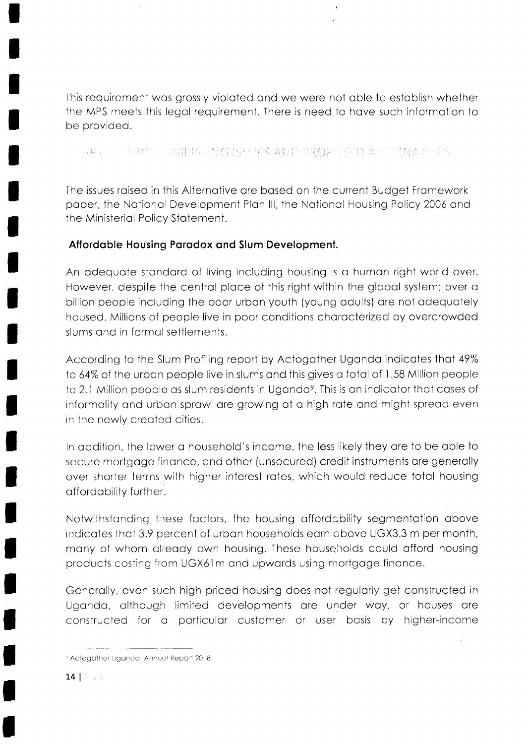This requirement was grossly violated and we were not able to establish whether the MPS meets this legal requirement. There is need to have such information to be provided.

EAPTS THREE PAMERGING ISSUES AND PROPOSED ALIPRNATE ES.

The issues raised in this Alternative are based on the current Budget Framework paper, the National Development Plan III, the National Housing Policy 2006 and the Ministerial Policy Statement.

# Affordable Housing Paradox and Slum Development.

An adequate standard of living including housing is a human right world over. However, despite the central place of this right within the global system; over a billion people including the poor urban youth (young adults) are not adequately housed. Millions of people live in poor conditions characterized by overcrowded slums and in formal settlements.

According to the Slum Profiling report by Actogather Uganda indicates that 49% to 64% of the urban people live in slums and this gives a total of 1.58 Million people to 2.1 Million people as slum residents in Uganda<sup>9</sup>. This is an indicator that cases of informality and urban sprawl are growing at a high rate and might spread even in the newly created cities.

In addition, the lower a household's income, the less likely they are to be able to secure mortgage finance, and other (unsecured) credit instruments are generally over shorter terms with higher interest rates, which would reduce total housing affordability further.

Notwithstanding these factors, the housing affordability segmentation above indicates that 3.9 percent of urban households earn above UGX3.3 m per month, many of whom already own housing. These households could afford housing products costing from UGX61m and upwards using mortgage finance.

Generally, even such high priced housing does not regularly get constructed in Uganda, although limited developments are under way, or houses are constructed for a particular customer or user basis by higher-income

<sup>&</sup>lt;sup>9</sup> Actogather Uganda: Annual Report 2018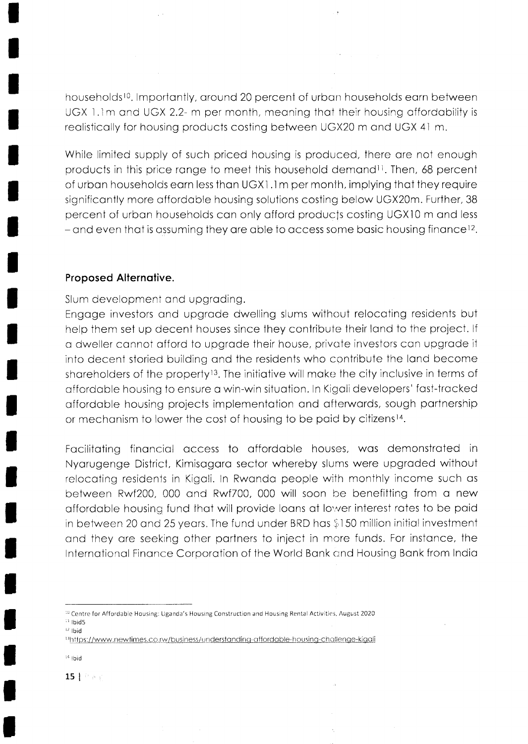households<sup>10</sup>. Importantly, around 20 percent of urban households earn between UGX 1.1m and UGX 2.2- m per month, meaning that their housing affordability is reolisticolly for housing products costing between UGX20 m ond UGX 4l m.

While limited supply of such priced housing is produced, there are not enough products in this price range to meet this household demand<sup>11</sup>. Then, 68 percent of urbon households eorn less ihon UGXI.1m per monih, implying thot they require significontly more offordoble housing solutions costing below UGX2Om. Further, 38 percent of urban households can only afford products costing UGX10 m and less - and even that is assuming they are able to access some basic housing finance<sup>12</sup>.

### Proposed Alternotive.

I

I

t

T

T

T

Slum development ond upgroding.

Engoge investors ond upgrode dwelling slums without relocoting residents but help them set up decent houses since they contribute their land to the project. If o dweller connot offord to upgrode their house, privote investors con upgrode it into decent storied building and the residents who contribute the land become shareholders of the property<sup>13</sup>. The initiative will make the city inclusive in terms of offordoble housing to ensure o win-win situotion. In Kigoli developers' fost-trocked offordoble housing projects implementolion ond ofterwords, sough portnership or mechanism to lower the cost of housing to be paid by citizens<sup>14</sup>.

Facilitating financial access to affordable houses, was demonstrated in Nyorugenge District, Kimisogoro sector whereby slums were upgroded without relocoting residenis in Kigoli. ln Rwondo people with monthly income such os between Rwf200, 000 and Rwf700, 000 will soon be benefitting from a new offordable housing fund that will provide loans at lower interest rates to be paid in between 20 and 25 years. The fund under BRD has \$150 million initial investment and they are seeking other partners to inject in more funds. For instance, the Internotionol Finonce Corporotion of the World Bonk cnd Housing Bonk from Indio

r4 lbid

15 | Fact

<sup>&</sup>lt;sup>10</sup> Centre for Affordable Housing: Uganda's Housing Construction and Housing Rental Activities, August 2020  $11$  Ibid5

 $12$  lbid

<sup>13</sup>https://www.newtimes.co.rw/business/understanding-affordable-housing-challenge-kigali